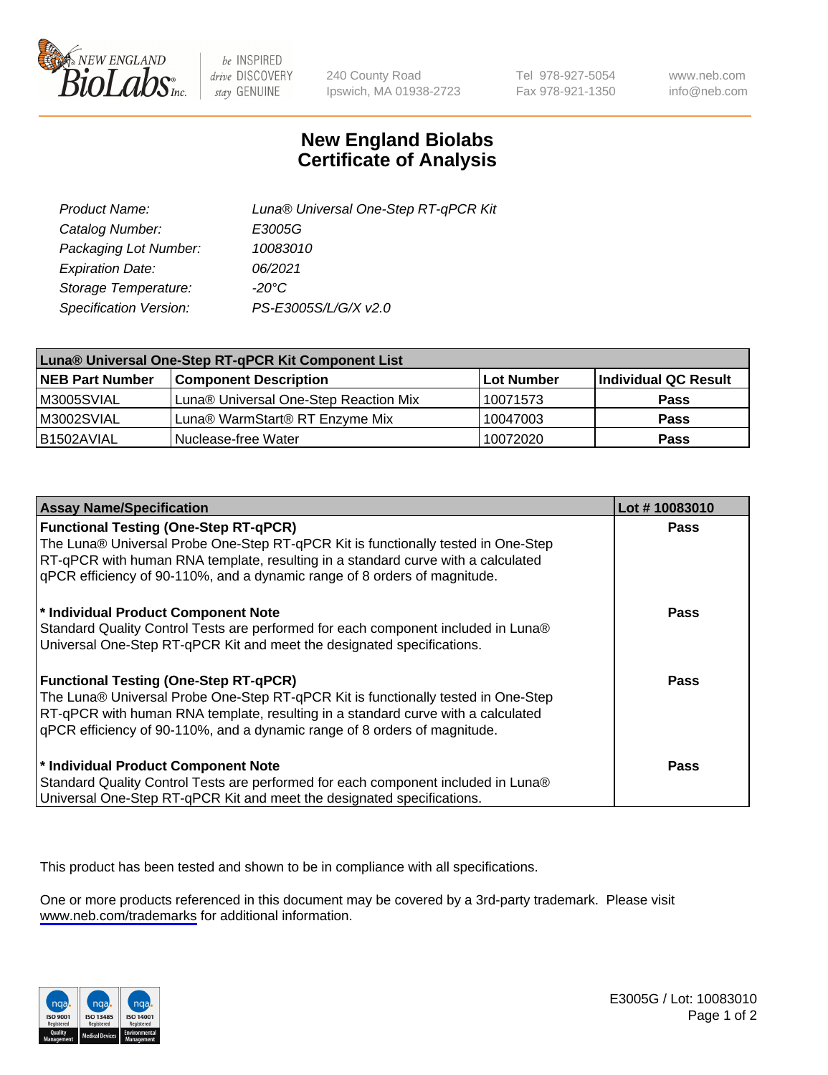

be INSPIRED drive DISCOVERY stay GENUINE

240 County Road Ipswich, MA 01938-2723 Tel 978-927-5054 Fax 978-921-1350

www.neb.com info@neb.com

## **New England Biolabs Certificate of Analysis**

| Product Name:           | Luna® Universal One-Step RT-qPCR Kit |
|-------------------------|--------------------------------------|
| Catalog Number:         | E3005G                               |
| Packaging Lot Number:   | 10083010                             |
| <b>Expiration Date:</b> | 06/2021                              |
| Storage Temperature:    | $-20^{\circ}$ C                      |
| Specification Version:  | PS-E3005S/L/G/X v2.0                 |

| Luna® Universal One-Step RT-qPCR Kit Component List |                                       |            |                      |  |
|-----------------------------------------------------|---------------------------------------|------------|----------------------|--|
| <b>NEB Part Number</b>                              | <b>Component Description</b>          | Lot Number | Individual QC Result |  |
| M3005SVIAL                                          | Luna® Universal One-Step Reaction Mix | 10071573   | <b>Pass</b>          |  |
| M3002SVIAL                                          | Luna® WarmStart® RT Enzyme Mix        | 10047003   | <b>Pass</b>          |  |
| B1502AVIAL                                          | Nuclease-free Water                   | 10072020   | <b>Pass</b>          |  |

| <b>Assay Name/Specification</b>                                                                                                                                                                                                                                                                    | Lot #10083010 |
|----------------------------------------------------------------------------------------------------------------------------------------------------------------------------------------------------------------------------------------------------------------------------------------------------|---------------|
| <b>Functional Testing (One-Step RT-qPCR)</b><br>The Luna® Universal Probe One-Step RT-qPCR Kit is functionally tested in One-Step                                                                                                                                                                  | <b>Pass</b>   |
| RT-qPCR with human RNA template, resulting in a standard curve with a calculated<br>gPCR efficiency of 90-110%, and a dynamic range of 8 orders of magnitude.                                                                                                                                      |               |
| * Individual Product Component Note<br>Standard Quality Control Tests are performed for each component included in Luna®<br>Universal One-Step RT-qPCR Kit and meet the designated specifications.                                                                                                 | Pass          |
| <b>Functional Testing (One-Step RT-qPCR)</b><br>The Luna® Universal Probe One-Step RT-qPCR Kit is functionally tested in One-Step<br>RT-qPCR with human RNA template, resulting in a standard curve with a calculated<br>gPCR efficiency of 90-110%, and a dynamic range of 8 orders of magnitude. | Pass          |
| * Individual Product Component Note<br>Standard Quality Control Tests are performed for each component included in Luna®<br>Universal One-Step RT-qPCR Kit and meet the designated specifications.                                                                                                 | <b>Pass</b>   |

This product has been tested and shown to be in compliance with all specifications.

One or more products referenced in this document may be covered by a 3rd-party trademark. Please visit <www.neb.com/trademarks>for additional information.